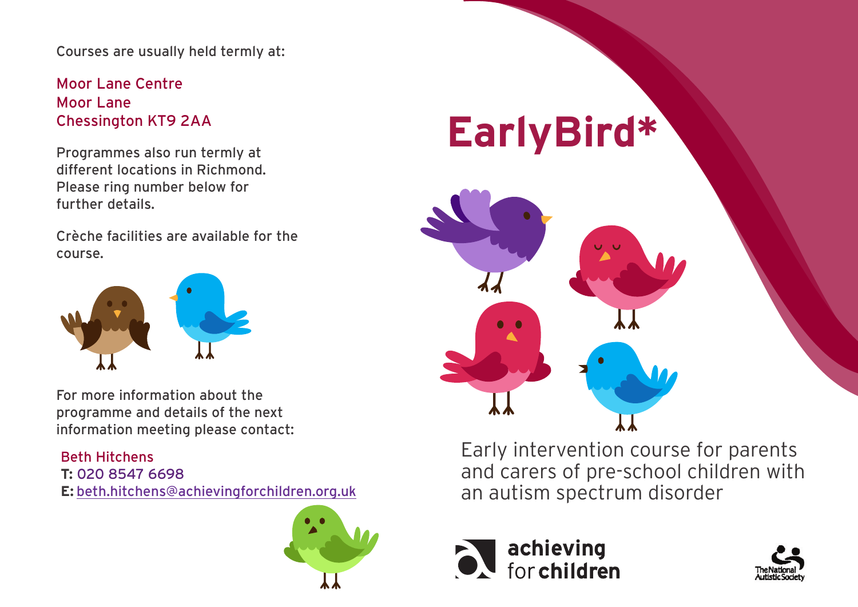Courses are usually held termly at:

Moor Lane Centre Moor Lane Chessington KT9 2AA

Programmes also run termly at different locations in Richmond. Please ring number below for further details.

Crèche facilities are available for the course.



For more information about the programme and details of the next information meeting please contact:

## Beth Hitchens **T:** 020 8547 6698

**E:** [beth.hitchens@achievingforchildren.org.uk](mailto:beth.hitchens%40achievingforchildren.org.uk?subject=)



## **EarlyBird\***



Early intervention course for parents and carers of pre-school children with an autism spectrum disorder